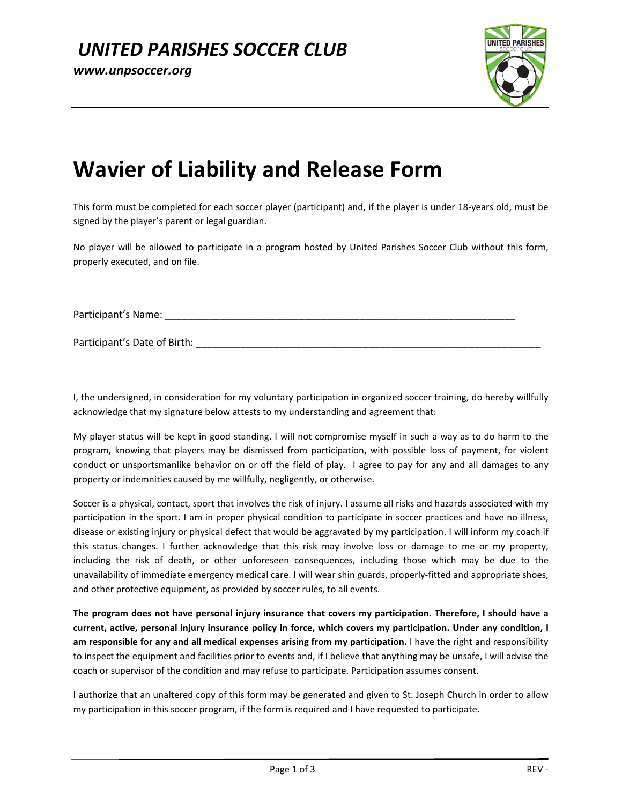

## **Wavier of Liability and Release Form**

This form must be completed for each soccer player (participant) and, if the player is under 18-years old, must be signed by the player's parent or legal guardian.

No player will be allowed to participate in a program hosted by United Parishes Soccer Club without this form, properly executed, and on file.

Participant's Name: \_\_\_\_\_\_\_\_\_\_\_\_\_\_\_\_\_\_\_\_\_\_\_\_\_\_\_\_\_\_\_\_\_\_\_\_\_\_\_\_\_\_\_\_\_\_\_\_\_\_\_\_\_\_\_\_\_\_\_\_\_\_\_

Participant's Date of Birth: **Example 2018** 

I, the undersigned, in consideration for my voluntary participation in organized soccer training, do hereby willfully acknowledge that my signature below attests to my understanding and agreement that:

My player status will be kept in good standing. I will not compromise myself in such a way as to do harm to the program, knowing that players may be dismissed from participation, with possible loss of payment, for violent conduct or unsportsmanlike behavior on or off the field of play. I agree to pay for any and all damages to any property or indemnities caused by me willfully, negligently, or otherwise.

Soccer is a physical, contact, sport that involves the risk of injury. I assume all risks and hazards associated with my participation in the sport. I am in proper physical condition to participate in soccer practices and have no illness, disease or existing injury or physical defect that would be aggravated by my participation. I will inform my coach if this status changes. I further acknowledge that this risk may involve loss or damage to me or my property, including the risk of death, or other unforeseen consequences, including those which may be due to the unavailability of immediate emergency medical care. I will wear shin guards, properly-fitted and appropriate shoes, and other protective equipment, as provided by soccer rules, to all events.

**The program does not have personal injury insurance that covers my participation. Therefore, I should have a current, active, personal injury insurance policy in force, which covers my participation. Under any condition, I am responsible for any and all medical expenses arising from my participation.** I have the right and responsibility to inspect the equipment and facilities prior to events and, if I believe that anything may be unsafe, I will advise the coach or supervisor of the condition and may refuse to participate. Participation assumes consent.

I authorize that an unaltered copy of this form may be generated and given to St. Joseph Church in order to allow my participation in this soccer program, if the form is required and I have requested to participate.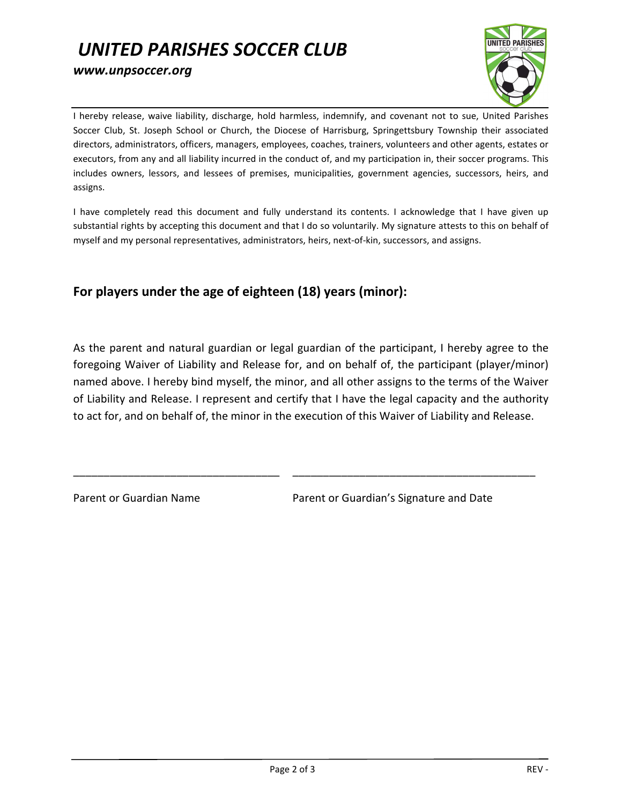## *UNITED PARISHES SOCCER CLUB www.unpsoccer.org*



I hereby release, waive liability, discharge, hold harmless, indemnify, and covenant not to sue, United Parishes Soccer Club, St. Joseph School or Church, the Diocese of Harrisburg, Springettsbury Township their associated directors, administrators, officers, managers, employees, coaches, trainers, volunteers and other agents, estates or executors, from any and all liability incurred in the conduct of, and my participation in, their soccer programs. This includes owners, lessors, and lessees of premises, municipalities, government agencies, successors, heirs, and assigns.

I have completely read this document and fully understand its contents. I acknowledge that I have given up substantial rights by accepting this document and that I do so voluntarily. My signature attests to this on behalf of myself and my personal representatives, administrators, heirs, next-of-kin, successors, and assigns.

## **For players under the age of eighteen (18) years (minor):**

As the parent and natural guardian or legal guardian of the participant, I hereby agree to the foregoing Waiver of Liability and Release for, and on behalf of, the participant (player/minor) named above. I hereby bind myself, the minor, and all other assigns to the terms of the Waiver of Liability and Release. I represent and certify that I have the legal capacity and the authority to act for, and on behalf of, the minor in the execution of this Waiver of Liability and Release.

\_\_\_\_\_\_\_\_\_\_\_\_\_\_\_\_\_\_\_\_\_\_\_\_\_\_\_\_\_\_\_\_\_\_ \_\_\_\_\_\_\_\_\_\_\_\_\_\_\_\_\_\_\_\_\_\_\_\_\_\_\_\_\_\_\_\_\_\_\_\_\_\_\_\_

Parent or Guardian Name Parent or Guardian's Signature and Date